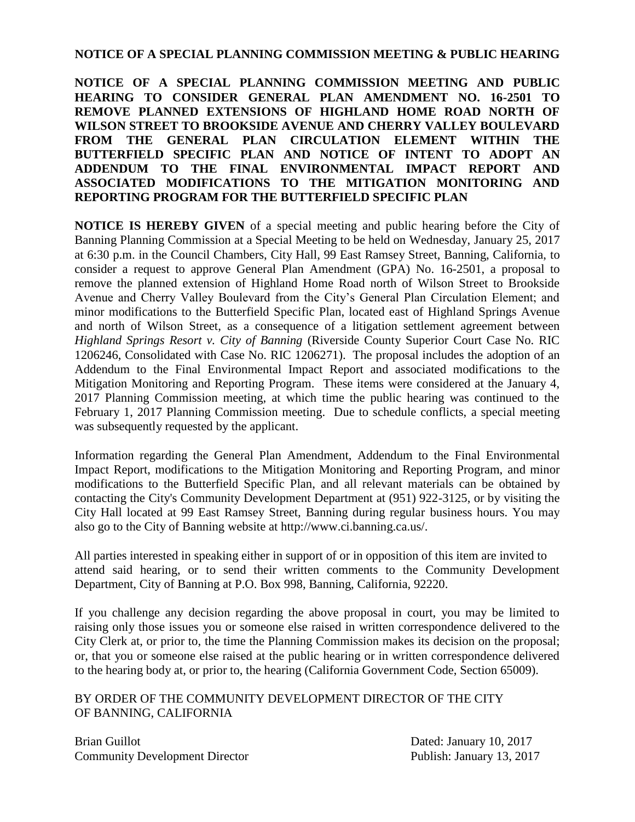## **NOTICE OF A SPECIAL PLANNING COMMISSION MEETING & PUBLIC HEARING**

**NOTICE OF A SPECIAL PLANNING COMMISSION MEETING AND PUBLIC HEARING TO CONSIDER GENERAL PLAN AMENDMENT NO. 16-2501 TO REMOVE PLANNED EXTENSIONS OF HIGHLAND HOME ROAD NORTH OF WILSON STREET TO BROOKSIDE AVENUE AND CHERRY VALLEY BOULEVARD FROM THE GENERAL PLAN CIRCULATION ELEMENT WITHIN THE BUTTERFIELD SPECIFIC PLAN AND NOTICE OF INTENT TO ADOPT AN ADDENDUM TO THE FINAL ENVIRONMENTAL IMPACT REPORT AND ASSOCIATED MODIFICATIONS TO THE MITIGATION MONITORING AND REPORTING PROGRAM FOR THE BUTTERFIELD SPECIFIC PLAN**

**NOTICE IS HEREBY GIVEN** of a special meeting and public hearing before the City of Banning Planning Commission at a Special Meeting to be held on Wednesday, January 25, 2017 at 6:30 p.m. in the Council Chambers, City Hall, 99 East Ramsey Street, Banning, California, to consider a request to approve General Plan Amendment (GPA) No. 16-2501, a proposal to remove the planned extension of Highland Home Road north of Wilson Street to Brookside Avenue and Cherry Valley Boulevard from the City's General Plan Circulation Element; and minor modifications to the Butterfield Specific Plan, located east of Highland Springs Avenue and north of Wilson Street, as a consequence of a litigation settlement agreement between *Highland Springs Resort v. City of Banning* (Riverside County Superior Court Case No. RIC 1206246, Consolidated with Case No. RIC 1206271). The proposal includes the adoption of an Addendum to the Final Environmental Impact Report and associated modifications to the Mitigation Monitoring and Reporting Program. These items were considered at the January 4, 2017 Planning Commission meeting, at which time the public hearing was continued to the February 1, 2017 Planning Commission meeting. Due to schedule conflicts, a special meeting was subsequently requested by the applicant.

Information regarding the General Plan Amendment, Addendum to the Final Environmental Impact Report, modifications to the Mitigation Monitoring and Reporting Program, and minor modifications to the Butterfield Specific Plan, and all relevant materials can be obtained by contacting the City's Community Development Department at (951) 922-3125, or by visiting the City Hall located at 99 East Ramsey Street, Banning during regular business hours. You may also go to the City of Banning website at http://www.ci.banning.ca.us/.

All parties interested in speaking either in support of or in opposition of this item are invited to attend said hearing, or to send their written comments to the Community Development Department, City of Banning at P.O. Box 998, Banning, California, 92220.

If you challenge any decision regarding the above proposal in court, you may be limited to raising only those issues you or someone else raised in written correspondence delivered to the City Clerk at, or prior to, the time the Planning Commission makes its decision on the proposal; or, that you or someone else raised at the public hearing or in written correspondence delivered to the hearing body at, or prior to, the hearing (California Government Code, Section 65009).

BY ORDER OF THE COMMUNITY DEVELOPMENT DIRECTOR OF THE CITY OF BANNING, CALIFORNIA

Brian Guillot **Dated:** January 10, 2017 Community Development Director Publish: January 13, 2017